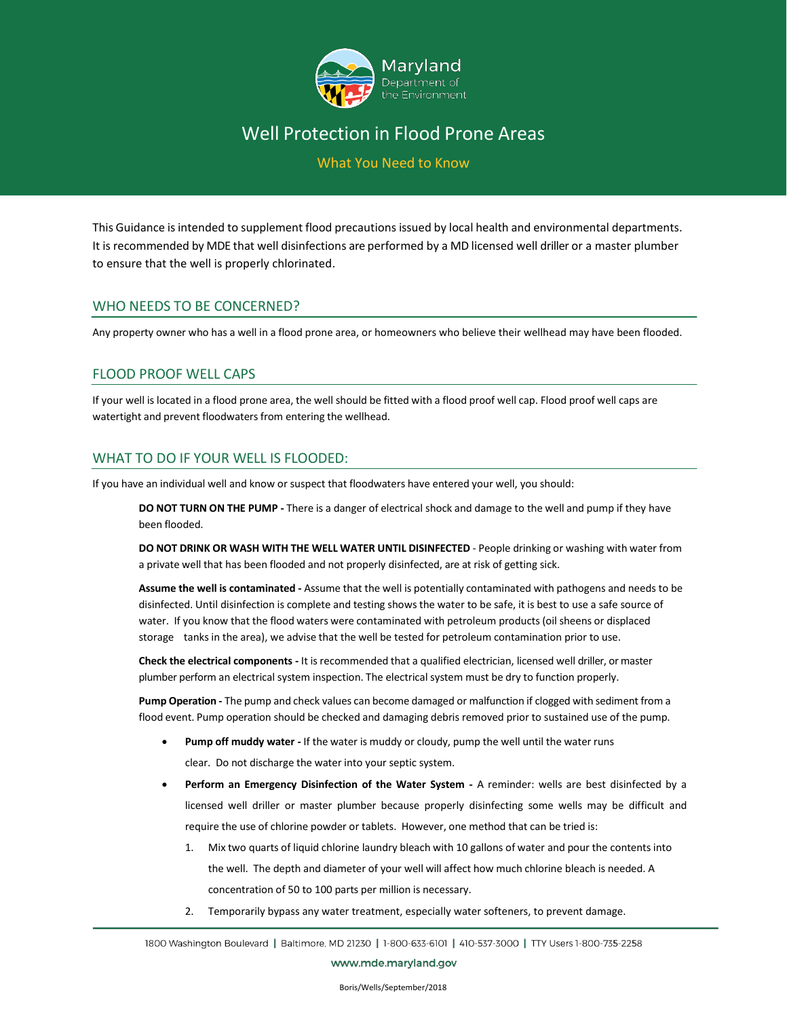

# Well Protection in Flood Prone Areas

What You Need to Know

This Guidance is intended to supplement flood precautions issued by local health and environmental departments. It is recommended by MDE that well disinfections are performed by a MD licensed well driller or a master plumber to ensure that the well is properly chlorinated.

## WHO NEEDS TO BE CONCERNED?

Any property owner who has a well in a flood prone area, or homeowners who believe their wellhead may have been flooded.

## FLOOD PROOF WELL CAPS

If your well is located in a flood prone area, the well should be fitted with a flood proof well cap. Flood proof well caps are watertight and prevent floodwaters from entering the wellhead.

## WHAT TO DO IF YOUR WELL IS FLOODED:

If you have an individual well and know or suspect that floodwaters have entered your well, you should:

**DO NOT TURN ON THE PUMP -** There is a danger of electrical shock and damage to the well and pump if they have been flooded.

**DO NOT DRINK OR WASH WITH THE WELL WATER UNTIL DISINFECTED** - People drinking or washing with water from a private well that has been flooded and not properly disinfected, are at risk of getting sick.

**Assume the well is contaminated -** Assume that the well is potentially contaminated with pathogens and needs to be disinfected. Until disinfection is complete and testing shows the water to be safe, it is best to use a safe source of water. If you know that the flood waters were contaminated with petroleum products (oil sheens or displaced storage tanks in the area), we advise that the well be tested for petroleum contamination prior to use.

**Check the electrical components -** It is recommended that a qualified electrician, licensed well driller, or master plumber perform an electrical system inspection. The electrical system must be dry to function properly.

**Pump Operation -** The pump and check values can become damaged or malfunction if clogged with sediment from a flood event. Pump operation should be checked and damaging debris removed prior to sustained use of the pump.

- **Pump off muddy water -** If the water is muddy or cloudy, pump the well until the water runs clear. Do not discharge the water into your septic system.
- **Perform an Emergency Disinfection of the Water System -** A reminder: wells are best disinfected by a licensed well driller or master plumber because properly disinfecting some wells may be difficult and require the use of chlorine powder or tablets. However, one method that can be tried is:
	- 1. Mix two quarts of liquid chlorine laundry bleach with 10 gallons of water and pour the contents into the well. The depth and diameter of your well will affect how much chlorine bleach is needed. A concentration of 50 to 100 parts per million is necessary.
	- 2. Temporarily bypass any water treatment, especially water softeners, to prevent damage.

#### www.mde.maryland.gov